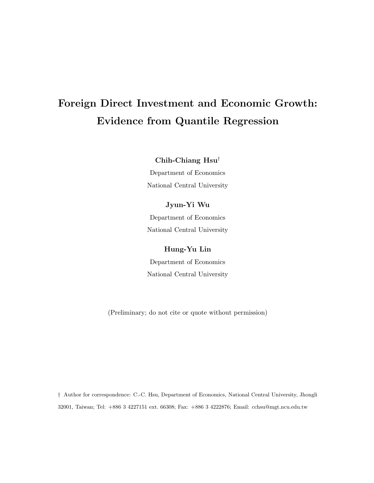# Foreign Direct Investment and Economic Growth: Evidence from Quantile Regression

Chih-Chiang Hsu†

Department of Economics National Central University

# Jyun-Yi Wu

Department of Economics National Central University

# Hung-Yu Lin

Department of Economics National Central University

(Preliminary; do not cite or quote without permission)

† Author for correspondence: C.-C. Hsu, Department of Economics, National Central University, Jhongli 32001, Taiwan; Tel: +886 3 4227151 ext. 66308; Fax: +886 3 4222876; Email: cchsu@mgt.ncu.edu.tw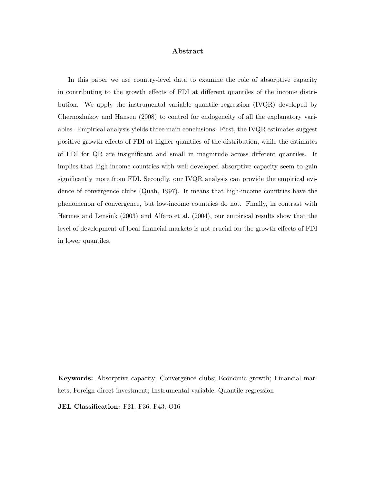#### Abstract

In this paper we use country-level data to examine the role of absorptive capacity in contributing to the growth effects of FDI at different quantiles of the income distribution. We apply the instrumental variable quantile regression (IVQR) developed by Chernozhukov and Hansen (2008) to control for endogeneity of all the explanatory variables. Empirical analysis yields three main conclusions. First, the IVQR estimates suggest positive growth effects of FDI at higher quantiles of the distribution, while the estimates of FDI for QR are insignificant and small in magnitude across different quantiles. It implies that high-income countries with well-developed absorptive capacity seem to gain significantly more from FDI. Secondly, our IVQR analysis can provide the empirical evidence of convergence clubs (Quah, 1997). It means that high-income countries have the phenomenon of convergence, but low-income countries do not. Finally, in contrast with Hermes and Lensink (2003) and Alfaro et al. (2004), our empirical results show that the level of development of local financial markets is not crucial for the growth effects of FDI in lower quantiles.

Keywords: Absorptive capacity; Convergence clubs; Economic growth; Financial markets; Foreign direct investment; Instrumental variable; Quantile regression

JEL Classification: F21; F36; F43; O16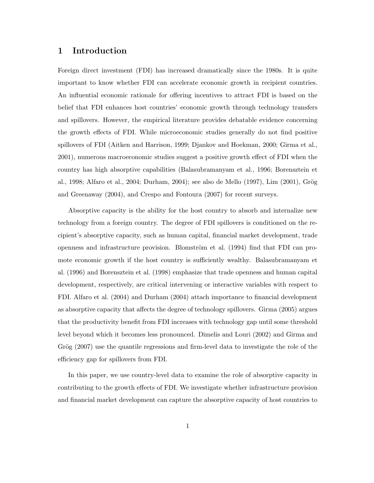# 1 Introduction

Foreign direct investment (FDI) has increased dramatically since the 1980s. It is quite important to know whether FDI can accelerate economic growth in recipient countries. An influential economic rationale for offering incentives to attract FDI is based on the belief that FDI enhances host countries' economic growth through technology transfers and spillovers. However, the empirical literature provides debatable evidence concerning the growth effects of FDI. While microeconomic studies generally do not find positive spillovers of FDI (Aitken and Harrison, 1999; Djankov and Hoekman, 2000; Girma et al., 2001), numerous macroeconomic studies suggest a positive growth effect of FDI when the country has high absorptive capabilities (Balasubramanyam et al., 1996; Borensztein et al., 1998; Alfaro et al., 2004; Durham, 2004); see also de Mello (1997), Lim (2001), Grög and Greenaway (2004), and Crespo and Fontoura (2007) for recent surveys.

Absorptive capacity is the ability for the host country to absorb and internalize new technology from a foreign country. The degree of FDI spillovers is conditioned on the recipient's absorptive capacity, such as human capital, financial market development, trade openness and infrastructure provision. Blomström et al. (1994) find that FDI can promote economic growth if the host country is sufficiently wealthy. Balasubramanyam et al. (1996) and Borensztein et al. (1998) emphasize that trade openness and human capital development, respectively, are critical intervening or interactive variables with respect to FDI. Alfaro et al. (2004) and Durham (2004) attach importance to financial development as absorptive capacity that affects the degree of technology spillovers. Girma (2005) argues that the productivity benefit from FDI increases with technology gap until some threshold level beyond which it becomes less pronounced. Dimelis and Louri (2002) and Girma and Grög (2007) use the quantile regressions and firm-level data to investigate the role of the efficiency gap for spillovers from FDI.

In this paper, we use country-level data to examine the role of absorptive capacity in contributing to the growth effects of FDI. We investigate whether infrastructure provision and financial market development can capture the absorptive capacity of host countries to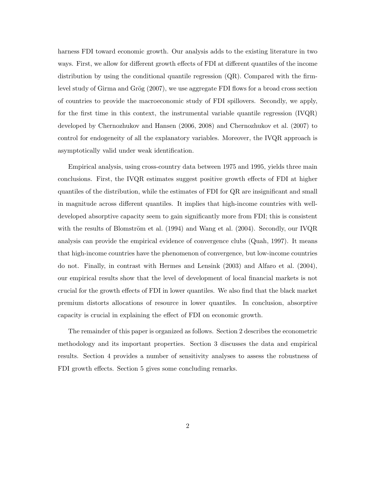harness FDI toward economic growth. Our analysis adds to the existing literature in two ways. First, we allow for different growth effects of FDI at different quantiles of the income distribution by using the conditional quantile regression  $(QR)$ . Compared with the firmlevel study of Girma and Grög  $(2007)$ , we use aggregate FDI flows for a broad cross section of countries to provide the macroeconomic study of FDI spillovers. Secondly, we apply, for the first time in this context, the instrumental variable quantile regression  $(IVQR)$ developed by Chernozhukov and Hansen (2006, 2008) and Chernozhukov et al. (2007) to control for endogeneity of all the explanatory variables. Moreover, the IVQR approach is asymptotically valid under weak identification.

Empirical analysis, using cross-country data between 1975 and 1995, yields three main conclusions. First, the IVQR estimates suggest positive growth effects of FDI at higher quantiles of the distribution, while the estimates of FDI for QR are insignificant and small in magnitude across different quantiles. It implies that high-income countries with welldeveloped absorptive capacity seem to gain significantly more from FDI; this is consistent with the results of Blomström et al.  $(1994)$  and Wang et al.  $(2004)$ . Secondly, our IVQR analysis can provide the empirical evidence of convergence clubs (Quah, 1997). It means that high-income countries have the phenomenon of convergence, but low-income countries do not. Finally, in contrast with Hermes and Lensink (2003) and Alfaro et al. (2004), our empirical results show that the level of development of local financial markets is not crucial for the growth effects of FDI in lower quantiles. We also find that the black market premium distorts allocations of resource in lower quantiles. In conclusion, absorptive capacity is crucial in explaining the effect of FDI on economic growth.

The remainder of this paper is organized as follows. Section 2 describes the econometric methodology and its important properties. Section 3 discusses the data and empirical results. Section 4 provides a number of sensitivity analyses to assess the robustness of FDI growth effects. Section 5 gives some concluding remarks.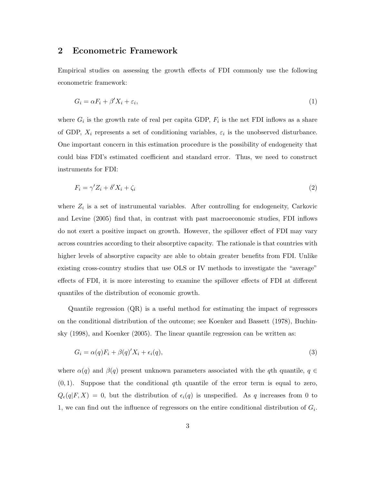### 2 Econometric Framework

Empirical studies on assessing the growth effects of FDI commonly use the following econometric framework:

$$
G_i = \alpha F_i + \beta' X_i + \varepsilon_i,\tag{1}
$$

where  $G_i$  is the growth rate of real per capita GDP,  $F_i$  is the net FDI inflows as a share of GDP,  $X_i$  represents a set of conditioning variables,  $\varepsilon_i$  is the unobserved disturbance. One important concern in this estimation procedure is the possibility of endogeneity that could bias FDI's estimated coefficient and standard error. Thus, we need to construct instruments for FDI:

$$
F_i = \gamma' Z_i + \delta' X_i + \zeta_i \tag{2}
$$

where  $Z_i$  is a set of instrumental variables. After controlling for endogeneity, Carkovic and Levine (2005) find that, in contrast with past macroeconomic studies, FDI inflows do not exert a positive impact on growth. However, the spillover effect of FDI may vary across countries according to their absorptive capacity. The rationale is that countries with higher levels of absorptive capacity are able to obtain greater benefits from FDI. Unlike existing cross-country studies that use OLS or IV methods to investigate the "average" effects of FDI, it is more interesting to examine the spillover effects of FDI at different quantiles of the distribution of economic growth.

Quantile regression (QR) is a useful method for estimating the impact of regressors on the conditional distribution of the outcome; see Koenker and Bassett (1978), Buchinsky (1998), and Koenker (2005). The linear quantile regression can be written as:

$$
G_i = \alpha(q)F_i + \beta(q)'X_i + \epsilon_i(q),\tag{3}
$$

where  $\alpha(q)$  and  $\beta(q)$  present unknown parameters associated with the qth quantile,  $q \in$  $(0, 1)$ . Suppose that the conditional qth quantile of the error term is equal to zero,  $Q_{\epsilon}(q|F, X) = 0$ , but the distribution of  $\epsilon_i(q)$  is unspecified. As q increases from 0 to 1, we can find out the influence of regressors on the entire conditional distribution of  $G_i$ .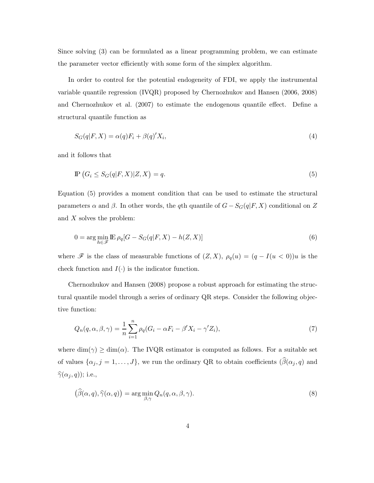Since solving (3) can be formulated as a linear programming problem, we can estimate the parameter vector efficiently with some form of the simplex algorithm.

In order to control for the potential endogeneity of FDI, we apply the instrumental variable quantile regression (IVQR) proposed by Chernozhukov and Hansen (2006, 2008) and Chernozhukov et al. (2007) to estimate the endogenous quantile effect. Define a structural quantile function as

$$
S_G(q|F,X) = \alpha(q)F_i + \beta(q)'X_i,
$$
\n<sup>(4)</sup>

and it follows that

$$
\mathbb{P}\left(G_i \le S_G(q|F,X)|Z,X\right) = q. \tag{5}
$$

Equation (5) provides a moment condition that can be used to estimate the structural parameters  $\alpha$  and  $\beta$ . In other words, the qth quantile of  $G - S_G(q|F, X)$  conditional on  $Z$ and X solves the problem:

$$
0 = \arg\min_{h \in \mathcal{F}} \mathbb{E} \,\rho_q[G - S_G(q|F, X) - h(Z, X)] \tag{6}
$$

where  $\mathscr F$  is the class of measurable functions of  $(Z, X)$ ,  $\rho_q(u) = (q - I(u < 0))u$  is the check function and  $I(\cdot)$  is the indicator function.

Chernozhukov and Hansen (2008) propose a robust approach for estimating the structural quantile model through a series of ordinary QR steps. Consider the following objective function:

$$
Q_n(q,\alpha,\beta,\gamma) = \frac{1}{n} \sum_{i=1}^n \rho_q (G_i - \alpha F_i - \beta' X_i - \gamma' Z_i),\tag{7}
$$

where  $\dim(\gamma) \geq \dim(\alpha)$ . The IVQR estimator is computed as follows. For a suitable set of values  $\{\alpha_j, j = 1, \ldots, J\}$ , we run the ordinary QR to obtain coefficients  $(\widehat{\beta}(\alpha_j, q)$  and  $\widehat{\gamma}(\alpha_j, q)$ ); i.e.,

$$
(\widehat{\beta}(\alpha, q), \widehat{\gamma}(\alpha, q)) = \arg\min_{\beta, \gamma} Q_n(q, \alpha, \beta, \gamma).
$$
\n(8)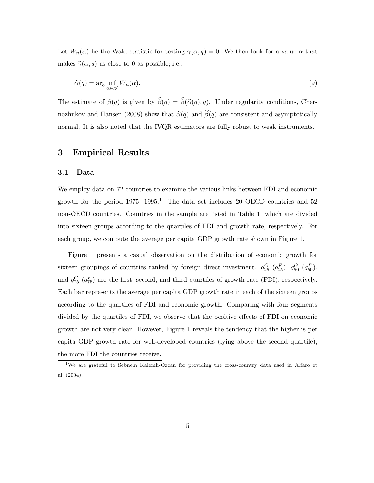Let  $W_n(\alpha)$  be the Wald statistic for testing  $\gamma(\alpha, q) = 0$ . We then look for a value  $\alpha$  that makes  $\hat{\gamma}(\alpha, q)$  as close to 0 as possible; i.e.,

$$
\widehat{\alpha}(q) = \arg\inf_{\alpha \in \mathscr{A}} W_n(\alpha). \tag{9}
$$

The estimate of  $\beta(q)$  is given by  $\widehat{\beta}(q) = \widehat{\beta}(\widehat{\alpha}(q), q)$ . Under regularity conditions, Chernozhukov and Hansen (2008) show that  $\hat{\alpha}(q)$  and  $\hat{\beta}(q)$  are consistent and asymptotically normal. It is also noted that the IVQR estimators are fully robust to weak instruments.

# 3 Empirical Results

#### 3.1 Data

We employ data on 72 countries to examine the various links between FDI and economic growth for the period  $1975-1995.1$  The data set includes 20 OECD countries and 52 non-OECD countries. Countries in the sample are listed in Table 1, which are divided into sixteen groups according to the quartiles of FDI and growth rate, respectively. For each group, we compute the average per capita GDP growth rate shown in Figure 1.

Figure 1 presents a casual observation on the distribution of economic growth for sixteen groupings of countries ranked by foreign direct investment.  $q_{25}^G$   $(q_{25}^F)$ ,  $q_{50}^G$   $(q_{50}^F)$ , and  $q_{75}^G$  ( $q_{75}^F$ ) are the first, second, and third quartiles of growth rate (FDI), respectively. Each bar represents the average per capita GDP growth rate in each of the sixteen groups according to the quartiles of FDI and economic growth. Comparing with four segments divided by the quartiles of FDI, we observe that the positive effects of FDI on economic growth are not very clear. However, Figure 1 reveals the tendency that the higher is per capita GDP growth rate for well-developed countries (lying above the second quartile), the more FDI the countries receive.

<sup>&</sup>lt;sup>1</sup>We are grateful to Sebnem Kalemli-Ozcan for providing the cross-country data used in Alfaro et al. (2004).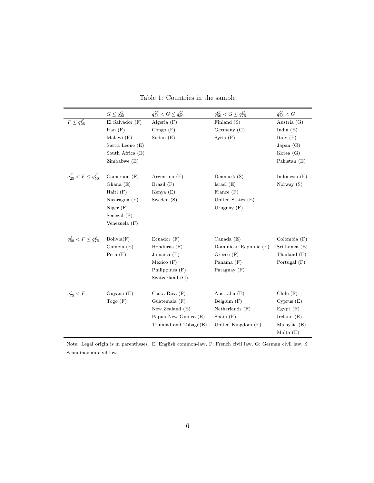|                              | $G \leq q_{25}^G$   | $q_{25}^G < G \leq q_{50}^G$ | $q_{50}^G < G \leq q_{75}^G$ | $q_{75}^G < G$                    |
|------------------------------|---------------------|------------------------------|------------------------------|-----------------------------------|
| $F \leq q_{25}^F$            | $El$ Salvador $(F)$ | Algeria $(F)$                | Finland (S)                  | Austria $(G)$                     |
|                              | Iran $(F)$          | Congo $(F)$                  | Germany $(G)$                | India $(E)$                       |
|                              | Malawi (E)          | Sudan $(E)$                  | Syria $(F)$                  | Italy $(F)$                       |
|                              | Sierra Leone $(E)$  |                              |                              | Japan $(G)$                       |
|                              | South Africa $(E)$  |                              |                              | Korea $(G)$                       |
|                              | Zimbabwe(E)         |                              |                              | Pakistan $(E)$                    |
| $q_{25}^F < F \leq q_{50}^F$ | Cameroon $(F)$      | Argentina $(F)$              | Denmark (S)                  | Indonesia $(F)$                   |
|                              | Ghana $(E)$         | Brazil $(F)$                 | Israel $(E)$                 | Norway $(S)$                      |
|                              | Haiti $(F)$         | Kenya $(E)$                  | France $(F)$                 |                                   |
|                              | Nicaragua $(F)$     | Sweden $(S)$                 | United States (E)            |                                   |
|                              | Niger $(F)$         |                              | Uruguay $(F)$                |                                   |
|                              | Senegal $(F)$       |                              |                              |                                   |
|                              | Venezuela $(F)$     |                              |                              |                                   |
| $q_{50}^F < F \leq q_{75}^F$ | Bolivia(F)          | Ecuador $(F)$                | Canada (E)                   | $\mathrm{Colombia}\ (\mathrm{F})$ |
|                              | Gambia(E)           | Honduras $(F)$               | Dominican Republic (F)       | Sri Lanka (E)                     |
|                              | Peru $(F)$          | Jamaica (E)                  | Greece $(F)$                 | Thailand (E)                      |
|                              |                     | Mexico(F)                    | Panama $(F)$                 | Portugal $(F)$                    |
|                              |                     | Philippines $(F)$            | Paraguay $(F)$               |                                   |
|                              |                     | Switzerland (G)              |                              |                                   |
| $q_{75}^F < F$               | Guyana $(E)$        | Costa Rica(F)                | Australia (E)                | Chile $(F)$                       |
|                              | $\text{Togo}(F)$    | Guatemala (F)                | Belgium $(F)$                | Cyprus(E)                         |
|                              |                     | New Zealand $(E)$            | Netherlands $(F)$            | $E$ gypt $(F)$                    |
|                              |                     | Papua New Guinea (E)         | Spain $(F)$                  | Ireland $(E)$                     |
|                              |                     | Trinidad and $Tobago(E)$     | United Kingdom (E)           | Malaysia $(E)$                    |
|                              |                     |                              |                              | Malta $(E)$                       |

Table 1: Countries in the sample

Note: Legal origin is in parentheses. E: English common-law, F: French civil law, G: German civil law, S: Scandinavian civil law.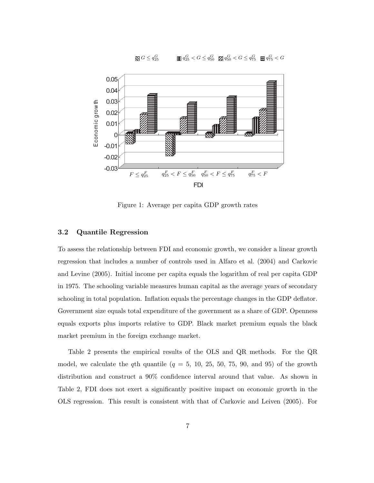$G \leq q_{2}^G$  $\begin{array}{ll} G & \text{if } q_{25}^G < G \leq q_{50}^G & \text{if } q_{50}^G < G \leq q_{75}^G & \text{if } q_{75}^G < G \end{array}$ 



Figure 1: Average per capita GDP growth rates

#### 3.2 Quantile Regression

To assess the relationship between FDI and economic growth, we consider a linear growth regression that includes a number of controls used in Alfaro et al. (2004) and Carkovic and Levine (2005). Initial income per capita equals the logarithm of real per capita GDP in 1975. The schooling variable measures human capital as the average years of secondary schooling in total population. Inflation equals the percentage changes in the GDP deflator. Government size equals total expenditure of the government as a share of GDP. Openness equals exports plus imports relative to GDP. Black market premium equals the black market premium in the foreign exchange market.

Table 2 presents the empirical results of the OLS and QR methods. For the QR model, we calculate the qth quantile  $(q = 5, 10, 25, 50, 75, 90, \text{ and } 95)$  of the growth distribution and construct a 90% confidence interval around that value. As shown in Table 2, FDI does not exert a significantly positive impact on economic growth in the OLS regression. This result is consistent with that of Carkovic and Leiven (2005). For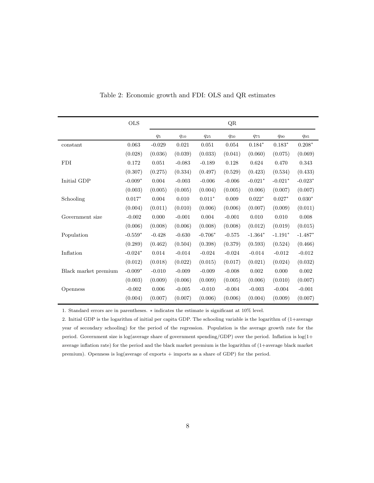|                      | <b>OLS</b> |          |          |           | QR       |           |           |           |
|----------------------|------------|----------|----------|-----------|----------|-----------|-----------|-----------|
|                      |            | $q_5$    | $q_{10}$ | $q_{25}$  | $q_{50}$ | $q_{75}$  | $q_{90}$  | $q_{95}$  |
| constant             | 0.063      | $-0.029$ | 0.021    | 0.051     | 0.054    | $0.184*$  | $0.183*$  | $0.208*$  |
|                      | (0.028)    | (0.036)  | (0.039)  | (0.033)   | (0.041)  | (0.060)   | (0.075)   | (0.069)   |
| <b>FDI</b>           | 0.172      | 0.051    | $-0.083$ | $-0.189$  | 0.128    | 0.624     | 0.470     | 0.343     |
|                      | (0.307)    | (0.275)  | (0.334)  | (0.497)   | (0.529)  | (0.423)   | (0.534)   | (0.433)   |
| Initial GDP          | $-0.009*$  | 0.004    | $-0.003$ | $-0.006$  | $-0.006$ | $-0.021*$ | $-0.021*$ | $-0.023*$ |
|                      | (0.003)    | (0.005)  | (0.005)  | (0.004)   | (0.005)  | (0.006)   | (0.007)   | (0.007)   |
| Schooling            | $0.017*$   | 0.004    | 0.010    | $0.011*$  | 0.009    | $0.022*$  | $0.027*$  | $0.030*$  |
|                      | (0.004)    | (0.011)  | (0.010)  | (0.006)   | (0.006)  | (0.007)   | (0.009)   | (0.011)   |
| Government size      | $-0.002$   | 0.000    | $-0.001$ | 0.004     | $-0.001$ | 0.010     | 0.010     | 0.008     |
|                      | (0.006)    | (0.008)  | (0.006)  | (0.008)   | (0.008)  | (0.012)   | (0.019)   | (0.015)   |
| Population           | $-0.559*$  | $-0.428$ | $-0.630$ | $-0.706*$ | $-0.575$ | $-1.364*$ | $-1.191*$ | $-1.487*$ |
|                      | (0.289)    | (0.462)  | (0.504)  | (0.398)   | (0.379)  | (0.593)   | (0.524)   | (0.466)   |
| Inflation            | $-0.024*$  | 0.014    | $-0.014$ | $-0.024$  | $-0.024$ | $-0.014$  | $-0.012$  | $-0.012$  |
|                      | (0.012)    | (0.018)  | (0.022)  | (0.015)   | (0.017)  | (0.021)   | (0.024)   | (0.032)   |
| Black market premium | $-0.009*$  | $-0.010$ | $-0.009$ | $-0.009$  | $-0.008$ | 0.002     | 0.000     | 0.002     |
|                      | (0.003)    | (0.009)  | (0.006)  | (0.009)   | (0.005)  | (0.006)   | (0.010)   | (0.007)   |
| Openness             | $-0.002$   | 0.006    | $-0.005$ | $-0.010$  | $-0.004$ | $-0.003$  | $-0.004$  | $-0.001$  |
|                      | (0.004)    | (0.007)  | (0.007)  | (0.006)   | (0.006)  | (0.004)   | (0.009)   | (0.007)   |

Table 2: Economic growth and FDI: OLS and QR estimates

1. Standard errors are in parentheses. ∗ indicates the estimate is significant at 10% level.

2. Initial GDP is the logarithm of initial per capita GDP. The schooling variable is the logarithm of (1+average year of secondary schooling) for the period of the regression. Population is the average growth rate for the period. Government size is log(average share of government spending/GDP) over the period. Inflation is log(1+ average inflation rate) for the period and the black market premium is the logarithm of (1+average black market premium). Openness is log(average of exports + imports as a share of GDP) for the period.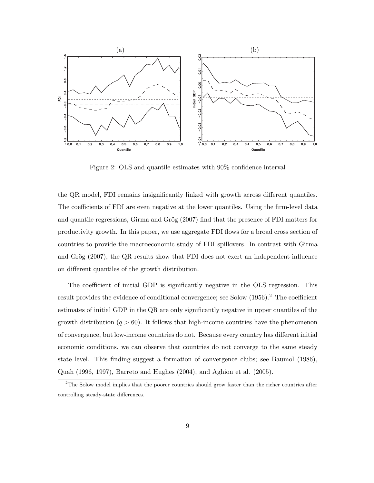

Figure 2: OLS and quantile estimates with 90% confidence interval

the QR model, FDI remains insignificantly linked with growth across different quantiles. The coefficients of FDI are even negative at the lower quantiles. Using the firm-level data and quantile regressions, Girma and Grög (2007) find that the presence of FDI matters for productivity growth. In this paper, we use aggregate FDI flows for a broad cross section of countries to provide the macroeconomic study of FDI spillovers. In contrast with Girma and Grög  $(2007)$ , the QR results show that FDI does not exert an independent influence on different quantiles of the growth distribution.

The coefficient of initial GDP is significantly negative in the OLS regression. This result provides the evidence of conditional convergence; see Solow (1956).<sup>2</sup> The coefficient estimates of initial GDP in the QR are only significantly negative in upper quantiles of the growth distribution  $(q > 60)$ . It follows that high-income countries have the phenomenon of convergence, but low-income countries do not. Because every country has different initial economic conditions, we can observe that countries do not converge to the same steady state level. This finding suggest a formation of convergence clubs; see Baumol (1986), Quah (1996, 1997), Barreto and Hughes (2004), and Aghion et al. (2005).

 $2$ The Solow model implies that the poorer countries should grow faster than the richer countries after controlling steady-state differences.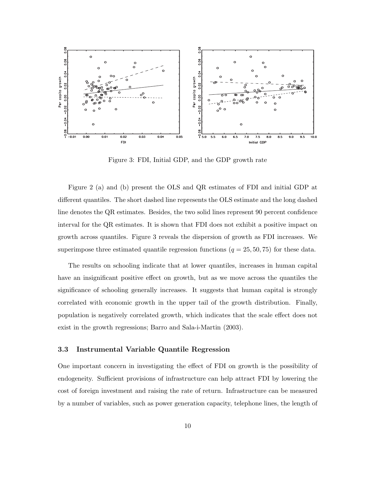

Figure 3: FDI, Initial GDP, and the GDP growth rate

Figure 2 (a) and (b) present the OLS and QR estimates of FDI and initial GDP at different quantiles. The short dashed line represents the OLS estimate and the long dashed line denotes the QR estimates. Besides, the two solid lines represent 90 percent confidence interval for the QR estimates. It is shown that FDI does not exhibit a positive impact on growth across quantiles. Figure 3 reveals the dispersion of growth as FDI increases. We superimpose three estimated quantile regression functions  $(q = 25, 50, 75)$  for these data.

The results on schooling indicate that at lower quantiles, increases in human capital have an insignificant positive effect on growth, but as we move across the quantiles the significance of schooling generally increases. It suggests that human capital is strongly correlated with economic growth in the upper tail of the growth distribution. Finally, population is negatively correlated growth, which indicates that the scale effect does not exist in the growth regressions; Barro and Sala-i-Martin (2003).

#### 3.3 Instrumental Variable Quantile Regression

One important concern in investigating the effect of FDI on growth is the possibility of endogeneity. Sufficient provisions of infrastructure can help attract FDI by lowering the cost of foreign investment and raising the rate of return. Infrastructure can be measured by a number of variables, such as power generation capacity, telephone lines, the length of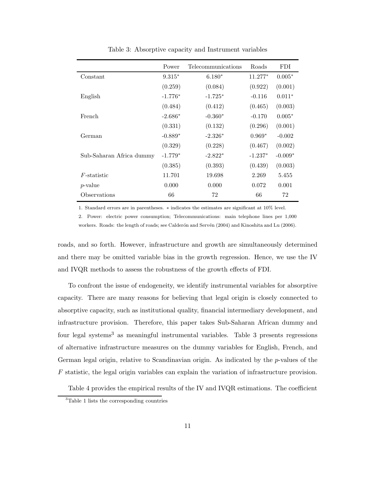|                          | Power     | Telecommunications | Roads     | FDI.      |
|--------------------------|-----------|--------------------|-----------|-----------|
| Constant                 | $9.315*$  | $6.180*$           | $11.277*$ | $0.005*$  |
|                          | (0.259)   | (0.084)            | (0.922)   | (0.001)   |
| English                  | $-1.776*$ | $-1.725*$          | $-0.116$  | $0.011*$  |
|                          | (0.484)   | (0.412)            | (0.465)   | (0.003)   |
| French                   | $-2.686*$ | $-0.360*$          | $-0.170$  | $0.005*$  |
|                          | (0.331)   | (0.132)            | (0.296)   | (0.001)   |
| German                   | $-0.889*$ | $-2.326*$          | $0.969*$  | $-0.002$  |
|                          | (0.329)   | (0.228)            | (0.467)   | (0.002)   |
| Sub-Saharan Africa dummy | $-1.779*$ | $-2.822*$          | $-1.237*$ | $-0.009*$ |
|                          | (0.385)   | (0.393)            | (0.439)   | (0.003)   |
| $F$ -statistic           | 11.701    | 19.698             | 2.269     | 5.455     |
| $p$ -value               | 0.000     | 0.000              | 0.072     | 0.001     |
| Observations             | 66        | 72                 | 66        | 72        |

Table 3: Absorptive capacity and Instrument variables

1. Standard errors are in parentheses. ∗ indicates the estimates are significant at 10% level.

2. Power: electric power consumption; Telecommunications: main telephone lines per 1,000 workers. Roads: the length of roads; see Calderón and Servén (2004) and Kinoshita and Lu (2006).

roads, and so forth. However, infrastructure and growth are simultaneously determined and there may be omitted variable bias in the growth regression. Hence, we use the IV and IVQR methods to assess the robustness of the growth effects of FDI.

To confront the issue of endogeneity, we identify instrumental variables for absorptive capacity. There are many reasons for believing that legal origin is closely connected to absorptive capacity, such as institutional quality, financial intermediary development, and infrastructure provision. Therefore, this paper takes Sub-Saharan African dummy and four legal systems<sup>3</sup> as meaningful instrumental variables. Table 3 presents regressions of alternative infrastructure measures on the dummy variables for English, French, and German legal origin, relative to Scandinavian origin. As indicated by the p-values of the F statistic, the legal origin variables can explain the variation of infrastructure provision.

Table 4 provides the empirical results of the IV and IVQR estimations. The coefficient

<sup>3</sup>Table 1 lists the corresponding countries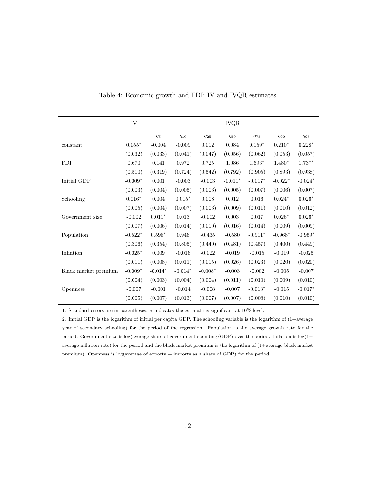|                      | IV        |           |           |           | $IVQR$    |             |           |           |
|----------------------|-----------|-----------|-----------|-----------|-----------|-------------|-----------|-----------|
|                      |           | $q_5$     | $q_{10}$  | $q_{25}$  | $q_{50}$  | <b>q</b> 75 | $q_{90}$  | $q_{95}$  |
| constant             | $0.055*$  | $-0.004$  | $-0.009$  | 0.012     | 0.084     | $0.159*$    | $0.210*$  | $0.228*$  |
|                      | (0.032)   | (0.033)   | (0.041)   | (0.047)   | (0.056)   | (0.062)     | (0.053)   | (0.057)   |
| <b>FDI</b>           | 0.670     | 0.141     | 0.972     | 0.725     | 1.086     | $1.693*$    | $1.480*$  | $1.737*$  |
|                      | (0.510)   | (0.319)   | (0.724)   | (0.542)   | (0.792)   | (0.905)     | (0.893)   | (0.938)   |
| Initial GDP          | $-0.009*$ | $0.001\,$ | $-0.003$  | $-0.003$  | $-0.011*$ | $-0.017*$   | $-0.022*$ | $-0.024*$ |
|                      | (0.003)   | (0.004)   | (0.005)   | (0.006)   | (0.005)   | (0.007)     | (0.006)   | (0.007)   |
| Schooling            | $0.016*$  | 0.004     | $0.015*$  | 0.008     | 0.012     | 0.016       | $0.024*$  | $0.026*$  |
|                      | (0.005)   | (0.004)   | (0.007)   | (0.006)   | (0.009)   | (0.011)     | (0.010)   | (0.012)   |
| Government size      | $-0.002$  | $0.011*$  | 0.013     | $-0.002$  | 0.003     | 0.017       | $0.026*$  | $0.026*$  |
|                      | (0.007)   | (0.006)   | (0.014)   | (0.010)   | (0.016)   | (0.014)     | (0.009)   | (0.009)   |
| Population           | $-0.522*$ | $0.598*$  | 0.946     | $-0.435$  | $-0.580$  | $-0.911*$   | $-0.968*$ | $-0.959*$ |
|                      | (0.306)   | (0.354)   | (0.805)   | (0.440)   | (0.481)   | (0.457)     | (0.400)   | (0.449)   |
| Inflation            | $-0.025*$ | 0.009     | $-0.016$  | $-0.022$  | $-0.019$  | $-0.015$    | $-0.019$  | $-0.025$  |
|                      | (0.011)   | (0.008)   | (0.011)   | (0.015)   | (0.026)   | (0.023)     | (0.020)   | (0.020)   |
| Black market premium | $-0.009*$ | $-0.014*$ | $-0.014*$ | $-0.008*$ | $-0.003$  | $-0.002$    | $-0.005$  | $-0.007$  |
|                      | (0.004)   | (0.003)   | (0.004)   | (0.004)   | (0.011)   | (0.010)     | (0.009)   | (0.010)   |
| Openness             | $-0.007$  | $-0.001$  | $-0.014$  | $-0.008$  | $-0.007$  | $-0.013*$   | $-0.015$  | $-0.017*$ |
|                      | (0.005)   | (0.007)   | (0.013)   | (0.007)   | (0.007)   | (0.008)     | (0.010)   | (0.010)   |

Table 4: Economic growth and FDI: IV and IVQR estimates

1. Standard errors are in parentheses.  $*$  indicates the estimate is significant at  $10\%$  level.

2. Initial GDP is the logarithm of initial per capita GDP. The schooling variable is the logarithm of (1+average year of secondary schooling) for the period of the regression. Population is the average growth rate for the period. Government size is log(average share of government spending/GDP) over the period. Inflation is log(1+ average inflation rate) for the period and the black market premium is the logarithm of (1+average black market premium). Openness is log(average of exports + imports as a share of GDP) for the period.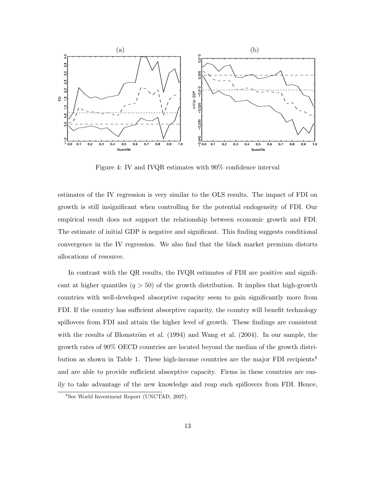

Figure 4: IV and IVQR estimates with 90% confidence interval

estimates of the IV regression is very similar to the OLS results. The impact of FDI on growth is still insignificant when controlling for the potential endogeneity of FDI. Our empirical result does not support the relationship between economic growth and FDI. The estimate of initial GDP is negative and significant. This finding suggests conditional convergence in the IV regression. We also find that the black market premium distorts allocations of resource.

In contrast with the QR results, the IVQR estimates of FDI are positive and significant at higher quantiles  $(q > 50)$  of the growth distribution. It implies that high-growth countries with well-developed absorptive capacity seem to gain significantly more from FDI. If the country has sufficient absorptive capacity, the country will benefit technology spillovers from FDI and attain the higher level of growth. These findings are consistent with the results of Blomström et al.  $(1994)$  and Wang et al.  $(2004)$ . In our sample, the growth rates of 90% OECD countries are located beyond the median of the growth distribution as shown in Table 1. These high-income countries are the major FDI recipients<sup>4</sup> and are able to provide sufficient absorptive capacity. Firms in these countries are easily to take advantage of the new knowledge and reap such spillovers from FDI. Hence,

<sup>4</sup> See World Investment Report (UNCTAD, 2007).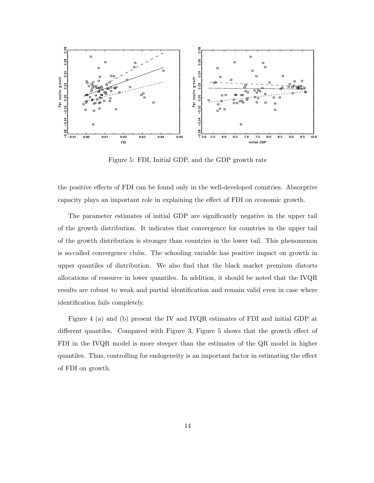

Figure 5: FDI, Initial GDP, and the GDP growth rate

the positive effects of FDI can be found only in the well-developed countries. Absorptive capacity plays an important role in explaining the effect of FDI on economic growth.

The parameter estimates of initial GDP are significantly negative in the upper tail of the growth distribution. It indicates that convergence for countries in the upper tail of the growth distribution is stronger than countries in the lower tail. This phenomenon is so-called convergence clubs. The schooling variable has positive impact on growth in upper quantiles of distribution. We also find that the black market premium distorts allocations of resource in lower quantiles. In addition, it should be noted that the IVQR results are robust to weak and partial identification and remain valid even in case where identification fails completely.

Figure 4 (a) and (b) present the IV and IVQR estimates of FDI and initial GDP at different quantiles. Compared with Figure 3, Figure 5 shows that the growth effect of FDI in the IVQR model is more steeper than the estimates of the QR model in higher quantiles. Thus, controlling for endogeneity is an important factor in estimating the effect of FDI on growth.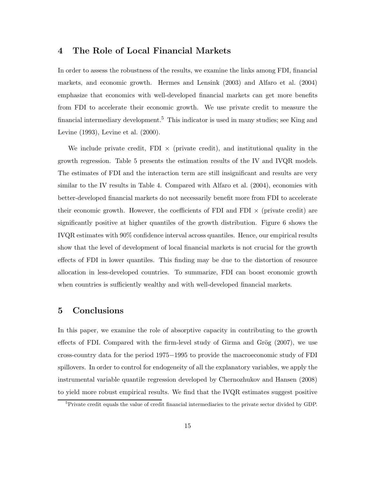# 4 The Role of Local Financial Markets

In order to assess the robustness of the results, we examine the links among FDI, financial markets, and economic growth. Hermes and Lensink (2003) and Alfaro et al. (2004) emphasize that economics with well-developed financial markets can get more benefits from FDI to accelerate their economic growth. We use private credit to measure the financial intermediary development.<sup>5</sup> This indicator is used in many studies; see King and Levine (1993), Levine et al. (2000).

We include private credit, FDI  $\times$  (private credit), and institutional quality in the growth regression. Table 5 presents the estimation results of the IV and IVQR models. The estimates of FDI and the interaction term are still insignificant and results are very similar to the IV results in Table 4. Compared with Alfaro et al. (2004), economies with better-developed financial markets do not necessarily benefit more from FDI to accelerate their economic growth. However, the coefficients of FDI and FDI  $\times$  (private credit) are significantly positive at higher quantiles of the growth distribution. Figure 6 shows the IVQR estimates with 90% confidence interval across quantiles. Hence, our empirical results show that the level of development of local financial markets is not crucial for the growth effects of FDI in lower quantiles. This finding may be due to the distortion of resource allocation in less-developed countries. To summarize, FDI can boost economic growth when countries is sufficiently wealthy and with well-developed financial markets.

# 5 Conclusions

In this paper, we examine the role of absorptive capacity in contributing to the growth effects of FDI. Compared with the firm-level study of Girma and Grög  $(2007)$ , we use cross-country data for the period 1975−1995 to provide the macroeconomic study of FDI spillovers. In order to control for endogeneity of all the explanatory variables, we apply the instrumental variable quantile regression developed by Chernozhukov and Hansen (2008) to yield more robust empirical results. We find that the IVQR estimates suggest positive

<sup>&</sup>lt;sup>5</sup>Private credit equals the value of credit financial intermediaries to the private sector divided by GDP.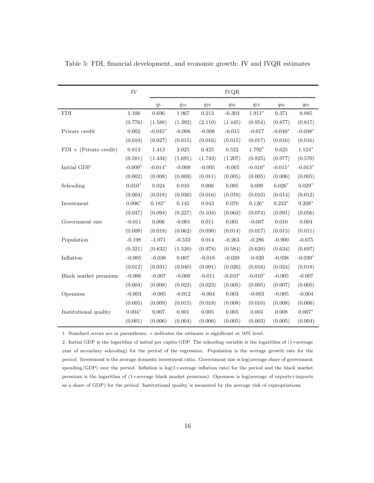|                               | IV        |           |          |          | $IVQR$    |           |                 |           |
|-------------------------------|-----------|-----------|----------|----------|-----------|-----------|-----------------|-----------|
|                               |           | $q_5$     | $q_{10}$ | $q_{25}$ | $q_{50}$  | $q_{75}$  | $q_{90}$        | $q_{95}$  |
| <b>FDI</b>                    | $1.106\,$ | 0.696     | 1.967    | 0.213    | $-0.303$  | $1.911*$  | 0.371           | 0.885     |
|                               | (0.776)   | (1.588)   | (1.392)  | (2.110)  | (1.445)   | (0.954)   | (0.877)         | (0.817)   |
| Private credit                | 0.002     | $-0.045*$ | $-0.006$ | $-0.008$ | $-0.015$  | $-0.017$  | $-0.040*$       | $-0.038*$ |
|                               | (0.010)   | (0.027)   | (0.015)  | (0.016)  | (0.015)   | (0.017)   | (0.016)         | (0.016)   |
| $FDI \times (Private credit)$ | 0.813     | 1.413     | 2.025    | 0.425    | 0.522     | $1.792*$  | 0.625           | $1.124*$  |
|                               | (0.581)   | (1.434)   | (1.691)  | (1.743)  | (1.207)   | (0.825)   | (0.977)         | (0.570)   |
| Initial GDP                   | $-0.009*$ | $-0.014*$ | $-0.009$ | $-0.005$ | $-0.005$  | $-0.010*$ | $-0.015^{\ast}$ | $-0.015*$ |
|                               | (0.002)   | (0.008)   | (0.009)  | (0.011)  | (0.005)   | (0.005)   | (0.006)         | (0.005)   |
| Schooling                     | $0.010*$  | 0.024     | 0.010    | 0.006    | 0.005     | 0.009     | $0.026*$        | $0.029*$  |
|                               | (0.004)   | (0.018)   | (0.030)  | (0.016)  | (0.010)   | (0.010)   | (0.014)         | (0.012)   |
| Investment                    | $0.096*$  | $0.185*$  | 0.145    | 0.043    | 0.070     | $0.126*$  | $0.233*$        | $0.208*$  |
|                               | (0.037)   | (0.094)   | (0.227)  | (0.104)  | (0.063)   | (0.074)   | (0.091)         | (0.056)   |
| Government size               | $-0.011$  | 0.006     | $-0.001$ | 0.011    | 0.001     | $-0.007$  | 0.010           | 0.004     |
|                               | (0.008)   | (0.018)   | (0.062)  | (0.030)  | (0.014)   | (0.017)   | (0.015)         | (0.011)   |
| Population                    | $-0.198$  | $-1.071$  | $-0.533$ | 0.014    | $-0.263$  | $-0.286$  | $-0.900$        | $-0.675$  |
|                               | (0.321)   | (0.832)   | (1.520)  | (0.978)  | (0.584)   | (0.620)   | (0.634)         | (0.697)   |
| Inflation                     | $-0.005$  | $-0.038$  | 0.007    | $-0.018$ | $-0.020$  | $-0.020$  | $-0.038$        | $-0.039*$ |
|                               | (0.012)   | (0.031)   | (0.040)  | (0.091)  | (0.020)   | (0.016)   | (0.024)         | (0.018)   |
| Black market premium          | $-0.006$  | $-0.007$  | $-0.009$ | $-0.011$ | $-0.010*$ | $-0.010*$ | $-0.005$        | $-0.007$  |
|                               | (0.004)   | (0.008)   | (0.023)  | (0.023)  | (0.005)   | (0.005)   | (0.007)         | (0.005)   |
| Openness                      | $-0.003$  | $-0.005$  | $-0.012$ | $-0.004$ | 0.003     | $-0.003$  | $-0.005$        | $-0.004$  |
|                               | (0.005)   | (0.009)   | (0.015)  | (0.018)  | (0.008)   | (0.010)   | (0.008)         | (0.006)   |
| Institutional quality         | $0.004*$  | 0.007     | 0.001    | 0.005    | 0.005     | 0.004     | 0.008           | $0.007*$  |
|                               | (0.001)   | (0.006)   | (0.004)  | (0.006)  | (0.005)   | (0.003)   | (0.005)         | (0.004)   |

Table 5: FDI, financial development, and economic growth: IV and IVQR estimates

1. Standard errors are in parentheses. ∗ indicates the estimate is significant at 10% level.

2. Initial GDP is the logarithm of initial per capita GDP. The schooling variable is the logarithm of (1+average year of secondary schooling) for the period of the regression. Population is the average growth rate for the period. Investment is the average domestic investment ratio. Government size is log(average share of government spending/GDP) over the period. Inflation is log(1+average inflation rate) for the period and the black market premium is the logarithm of (1+average black market premium). Openness is log(average of exports+imports as a share of GDP) for the period. Institutional quality is measured by the average risk of expropriations.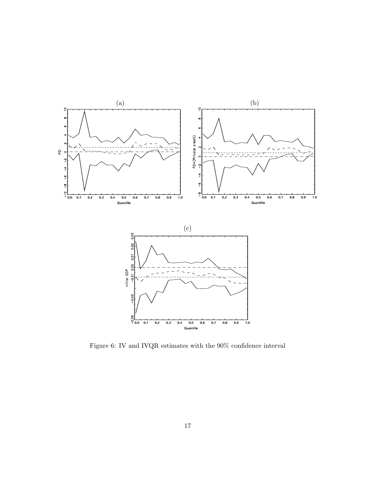

Figure 6: IV and IVQR estimates with the 90% confidence interval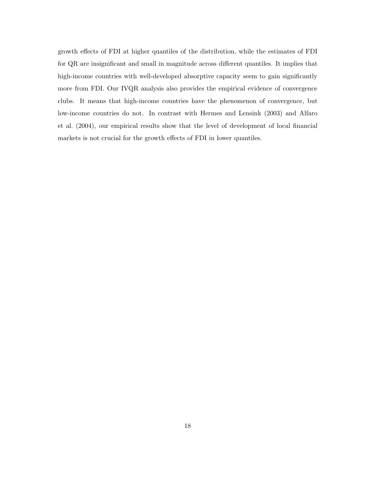growth effects of FDI at higher quantiles of the distribution, while the estimates of FDI for QR are insignificant and small in magnitude across different quantiles. It implies that high-income countries with well-developed absorptive capacity seem to gain significantly more from FDI. Our IVQR analysis also provides the empirical evidence of convergence clubs. It means that high-income countries have the phenomenon of convergence, but low-income countries do not. In contrast with Hermes and Lensink (2003) and Alfaro et al. (2004), our empirical results show that the level of development of local financial markets is not crucial for the growth effects of FDI in lower quantiles.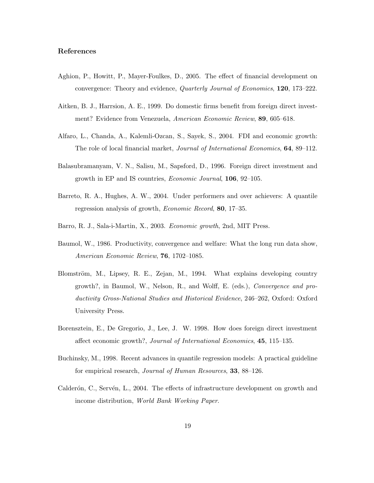#### References

- Aghion, P., Howitt, P., Mayer-Foulkes, D., 2005. The effect of financial development on convergence: Theory and evidence, Quarterly Journal of Economics, 120, 173–222.
- Aitken, B. J., Harrsion, A. E., 1999. Do domestic firms benefit from foreign direct investment? Evidence from Venezuela, American Economic Review, 89, 605–618.
- Alfaro, L., Chanda, A., Kalemli-Ozcan, S., Sayek, S., 2004. FDI and economic growth: The role of local financial market, Journal of International Economics, 64, 89–112.
- Balasubramanyam, V. N., Salisu, M., Sapsford, D., 1996. Foreign direct investment and growth in EP and IS countries, Economic Journal, 106, 92–105.
- Barreto, R. A., Hughes, A. W., 2004. Under performers and over achievers: A quantile regression analysis of growth, Economic Record, 80, 17–35.
- Barro, R. J., Sala-i-Martin, X., 2003. Economic growth, 2nd, MIT Press.
- Baumol, W., 1986. Productivity, convergence and welfare: What the long run data show, American Economic Review, 76, 1702–1085.
- Blomström, M., Lipsey, R. E., Zejan, M., 1994. What explains developing country growth?, in Baumol, W., Nelson, R., and Wolff, E. (eds.), Convergence and productivity Gross-National Studies and Historical Evidence, 246–262, Oxford: Oxford University Press.
- Borensztein, E., De Gregorio, J., Lee, J. W. 1998. How does foreign direct investment affect economic growth?, Journal of International Economics, 45, 115–135.
- Buchinsky, M., 1998. Recent advances in quantile regression models: A practical guideline for empirical research, Journal of Human Resources, 33, 88–126.
- Calderón, C., Servén, L., 2004. The effects of infrastructure development on growth and income distribution, World Bank Working Paper.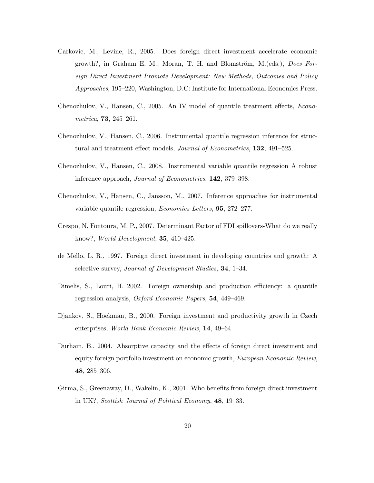- Carkovic, M., Levine, R., 2005. Does foreign direct investment accelerate economic growth?, in Graham E. M., Moran, T. H. and Blomström, M.(eds.), *Does For*eign Direct Investment Promote Development: New Methods, Outcomes and Policy Approaches, 195–220, Washington, D.C: Institute for International Economics Press.
- Chenozhulov, V., Hansen, C., 2005. An IV model of quantile treatment effects, Econometrica, 73, 245–261.
- Chenozhulov, V., Hansen, C., 2006. Instrumental quantile regression inference for structural and treatment effect models, Journal of Econometrics, 132, 491–525.
- Chenozhulov, V., Hansen, C., 2008. Instrumental variable quantile regression A robust inference approach, Journal of Econometrics, 142, 379–398.
- Chenozhulov, V., Hansen, C., Jansson, M., 2007. Inference approaches for instrumental variable quantile regression, Economics Letters, 95, 272–277.
- Crespo, N, Fontoura, M. P., 2007. Determinant Factor of FDI spillovers-What do we really know?, World Development, 35, 410–425.
- de Mello, L. R., 1997. Foreign direct investment in developing countries and growth: A selective survey, *Journal of Development Studies*, **34**, 1–34.
- Dimelis, S., Louri, H. 2002. Foreign ownership and production efficiency: a quantile regression analysis, Oxford Economic Papers, 54, 449–469.
- Djankov, S., Hoekman, B., 2000. Foreign investment and productivity growth in Czech enterprises, World Bank Economic Review, 14, 49–64.
- Durham, B., 2004. Absorptive capacity and the effects of foreign direct investment and equity foreign portfolio investment on economic growth, European Economic Review, 48, 285–306.
- Girma, S., Greenaway, D., Wakelin, K., 2001. Who benefits from foreign direct investment in UK?, Scottish Journal of Political Economy, 48, 19–33.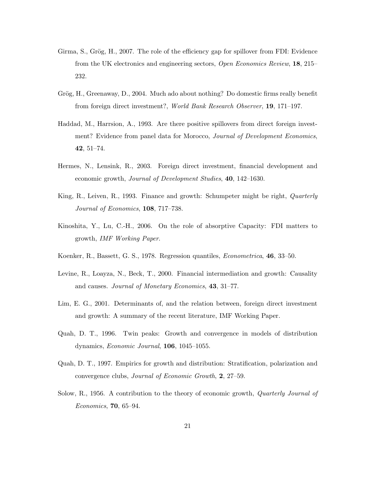- Girma, S., Grög, H., 2007. The role of the efficiency gap for spillover from FDI: Evidence from the UK electronics and engineering sectors, Open Economics Review, 18, 215– 232.
- Grög, H., Greenaway, D., 2004. Much ado about nothing? Do domestic firms really benefit from foreign direct investment?, World Bank Research Observer, 19, 171–197.
- Haddad, M., Harrsion, A., 1993. Are there positive spillovers from direct foreign investment? Evidence from panel data for Morocco, *Journal of Development Economics*, 42, 51–74.
- Hermes, N., Lensink, R., 2003. Foreign direct investment, financial development and economic growth, Journal of Development Studies, 40, 142–1630.
- King, R., Leiven, R., 1993. Finance and growth: Schumpeter might be right, Quarterly Journal of Economics, 108, 717–738.
- Kinoshita, Y., Lu, C.-H., 2006. On the role of absorptive Capacity: FDI matters to growth, IMF Working Paper.
- Koenker, R., Bassett, G. S., 1978. Regression quantiles, Econometrica, 46, 33–50.
- Levine, R., Loayza, N., Beck, T., 2000. Financial intermediation and growth: Causality and causes. Journal of Monetary Economics, 43, 31–77.
- Lim, E. G., 2001. Determinants of, and the relation between, foreign direct investment and growth: A summary of the recent literature, IMF Working Paper.
- Quah, D. T., 1996. Twin peaks: Growth and convergence in models of distribution dynamics, Economic Journal, 106, 1045–1055.
- Quah, D. T., 1997. Empirics for growth and distribution: Stratification, polarization and convergence clubs, Journal of Economic Growth, 2, 27–59.
- Solow, R., 1956. A contribution to the theory of economic growth, Quarterly Journal of Economics, 70, 65–94.